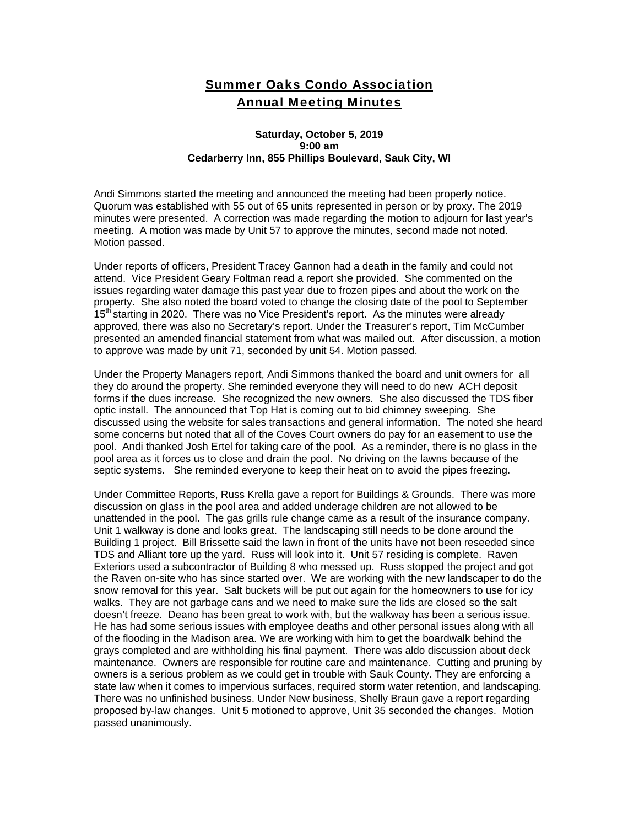## Summer Oaks Condo Association Annual Meeting Minutes

## **Saturday, October 5, 2019 9:00 am Cedarberry Inn, 855 Phillips Boulevard, Sauk City, WI**

Andi Simmons started the meeting and announced the meeting had been properly notice. Quorum was established with 55 out of 65 units represented in person or by proxy. The 2019 minutes were presented. A correction was made regarding the motion to adjourn for last year's meeting. A motion was made by Unit 57 to approve the minutes, second made not noted. Motion passed.

Under reports of officers, President Tracey Gannon had a death in the family and could not attend. Vice President Geary Foltman read a report she provided. She commented on the issues regarding water damage this past year due to frozen pipes and about the work on the property. She also noted the board voted to change the closing date of the pool to September 15<sup>th</sup> starting in 2020. There was no Vice President's report. As the minutes were already approved, there was also no Secretary's report. Under the Treasurer's report, Tim McCumber presented an amended financial statement from what was mailed out. After discussion, a motion to approve was made by unit 71, seconded by unit 54. Motion passed.

Under the Property Managers report, Andi Simmons thanked the board and unit owners for all they do around the property. She reminded everyone they will need to do new ACH deposit forms if the dues increase. She recognized the new owners. She also discussed the TDS fiber optic install. The announced that Top Hat is coming out to bid chimney sweeping. She discussed using the website for sales transactions and general information. The noted she heard some concerns but noted that all of the Coves Court owners do pay for an easement to use the pool. Andi thanked Josh Ertel for taking care of the pool. As a reminder, there is no glass in the pool area as it forces us to close and drain the pool. No driving on the lawns because of the septic systems. She reminded everyone to keep their heat on to avoid the pipes freezing.

Under Committee Reports, Russ Krella gave a report for Buildings & Grounds. There was more discussion on glass in the pool area and added underage children are not allowed to be unattended in the pool. The gas grills rule change came as a result of the insurance company. Unit 1 walkway is done and looks great. The landscaping still needs to be done around the Building 1 project. Bill Brissette said the lawn in front of the units have not been reseeded since TDS and Alliant tore up the yard. Russ will look into it. Unit 57 residing is complete. Raven Exteriors used a subcontractor of Building 8 who messed up. Russ stopped the project and got the Raven on-site who has since started over. We are working with the new landscaper to do the snow removal for this year. Salt buckets will be put out again for the homeowners to use for icy walks. They are not garbage cans and we need to make sure the lids are closed so the salt doesn't freeze. Deano has been great to work with, but the walkway has been a serious issue. He has had some serious issues with employee deaths and other personal issues along with all of the flooding in the Madison area. We are working with him to get the boardwalk behind the grays completed and are withholding his final payment. There was aldo discussion about deck maintenance. Owners are responsible for routine care and maintenance. Cutting and pruning by owners is a serious problem as we could get in trouble with Sauk County. They are enforcing a state law when it comes to impervious surfaces, required storm water retention, and landscaping. There was no unfinished business. Under New business, Shelly Braun gave a report regarding proposed by-law changes. Unit 5 motioned to approve, Unit 35 seconded the changes. Motion passed unanimously.